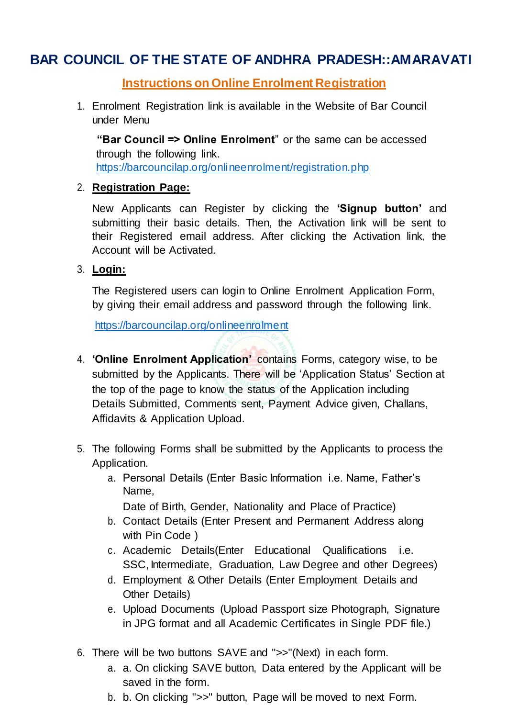# **BAR COUNCIL OF THE STATE OF ANDHRA PRADESH::AMARAVATI**

## **Instructions on Online Enrolment Registration**

1. Enrolment Registration link is available in the Website of Bar Council under Menu

**"Bar Council => Online Enrolment**" or the same can be accessed through the following link. <https://barcouncilap.org/onlineenrolment/registration.php>

### 2. **Registration Page:**

New Applicants can Register by clicking the **'Signup button'** and submitting their basic details. Then, the Activation link will be sent to their Registered email address. After clicking the Activation link, the Account will be Activated.

### 3. **Login:**

The Registered users can login to Online Enrolment Application Form, by giving their email address and password through the following link.

[https://barcouncilap.org/onlineenrolment](https://barcouncilap.org/onlineenrolment/)

- 4. **'Online Enrolment Application'** contains Forms, category wise, to be submitted by the Applicants. There will be 'Application Status' Section at the top of the page to know the status of the Application including Details Submitted, Comments sent, Payment Advice given, Challans, Affidavits & Application Upload.
- 5. The following Forms shall be submitted by the Applicants to process the Application.
	- a. Personal Details (Enter Basic Information i.e. Name, Father's Name,

Date of Birth, Gender, Nationality and Place of Practice)

- b. Contact Details (Enter Present and Permanent Address along with Pin Code )
- c. Academic Details(Enter Educational Qualifications i.e. SSC, Intermediate, Graduation, Law Degree and other Degrees)
- d. Employment & Other Details (Enter Employment Details and Other Details)
- e. Upload Documents (Upload Passport size Photograph, Signature in JPG format and all Academic Certificates in Single PDF file.)
- 6. There will be two buttons SAVE and ">>"(Next) in each form.
	- a. a. On clicking SAVE button, Data entered by the Applicant will be saved in the form.
	- b. b. On clicking ">>" button, Page will be moved to next Form.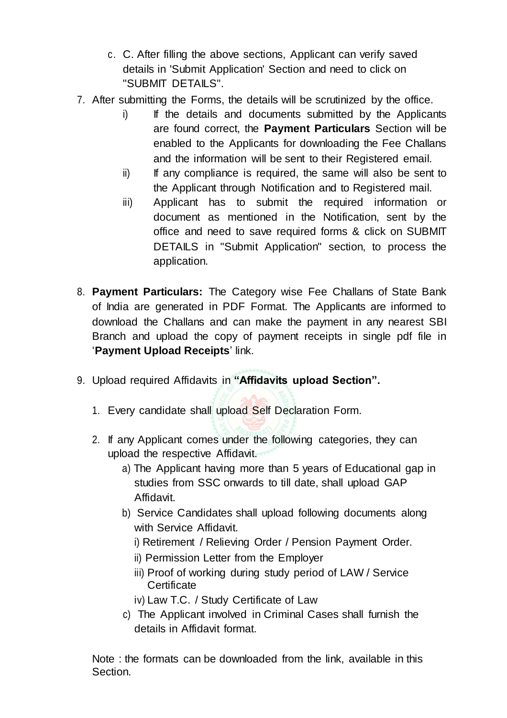- c. C. After filling the above sections, Applicant can verify saved details in 'Submit Application' Section and need to click on "SUBMIT DETAILS".
- 7. After submitting the Forms, the details will be scrutinized by the office.
	- i) If the details and documents submitted by the Applicants are found correct, the **Payment Particulars** Section will be enabled to the Applicants for downloading the Fee Challans and the information will be sent to their Registered email.
	- $ii)$  If any compliance is required, the same will also be sent to the Applicant through Notification and to Registered mail.
	- iii) Applicant has to submit the required information or document as mentioned in the Notification, sent by the office and need to save required forms & click on SUBMIT DETAILS in "Submit Application" section, to process the application.
- 8. **Payment Particulars:** The Category wise Fee Challans of State Bank of India are generated in PDF Format. The Applicants are informed to download the Challans and can make the payment in any nearest SBI Branch and upload the copy of payment receipts in single pdf file in '**Payment Upload Receipts**' link.
- 9. Upload required Affidavits in **"Affidavits upload Section".**
	- 1. Every candidate shall upload Self Declaration Form.
	- 2. If any Applicant comes under the following categories, they can upload the respective Affidavit.
		- a) The Applicant having more than 5 years of Educational gap in studies from SSC onwards to till date, shall upload GAP Affidavit.
		- b) Service Candidates shall upload following documents along with Service Affidavit.
			- i) Retirement / Relieving Order / Pension Payment Order.
			- ii) Permission Letter from the Employer
			- iii) Proof of working during study period of LAW / Service **Certificate**
			- iv) Law T.C. / Study Certificate of Law
		- c) The Applicant involved in Criminal Cases shall furnish the details in Affidavit format.

Note : the formats can be downloaded from the link, available in this Section.